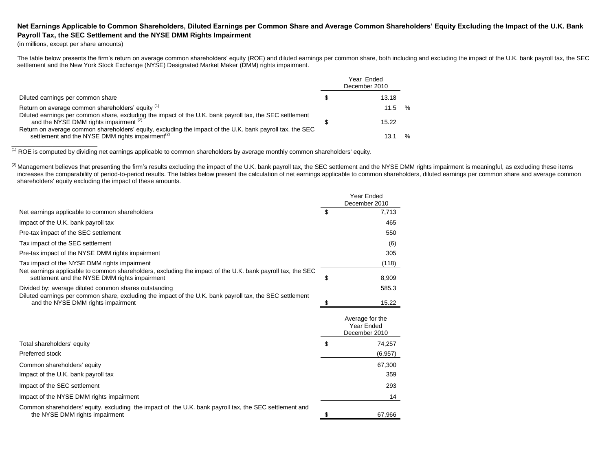## **Net Earnings Applicable to Common Shareholders, Diluted Earnings per Common Share and Average Common Shareholders' Equity Excluding the Impact of the U.K. Bank Payroll Tax, the SEC Settlement and the NYSE DMM Rights Impairment**

(in millions, except per share amounts)

The table below presents the firm's return on average common shareholders' equity (ROE) and diluted earnings per common share, both including and excluding the impact of the U.K. bank payroll tax, the SEC settlement and the New York Stock Exchange (NYSE) Designated Market Maker (DMM) rights impairment.

|                                                                                                                                                                           | Year Ended<br>December 2010 |      |
|---------------------------------------------------------------------------------------------------------------------------------------------------------------------------|-----------------------------|------|
| Diluted earnings per common share                                                                                                                                         | 13.18                       |      |
| Return on average common shareholders' equity (1)<br>Diluted earnings per common share, excluding the impact of the U.K. bank payroll tax, the SEC settlement             | 11.5                        | %    |
| and the NYSE DMM rights impairment (2)                                                                                                                                    | 15.22                       |      |
| Return on average common shareholders' equity, excluding the impact of the U.K. bank payroll tax, the SEC<br>settlement and the NYSE DMM rights impairment <sup>(2)</sup> | 13.1                        | $\%$ |

 $(1)$  ROE is computed by dividing net earnings applicable to common shareholders by average monthly common shareholders' equity.

(2) Management believes that presenting the firm's results excluding the impact of the U.K. bank payroll tax, the SEC settlement and the NYSE DMM rights impairment is meaningful, as excluding these items increases the comparability of period-to-period results. The tables below present the calculation of net earnings applicable to common shareholders, diluted earnings per common share and average common shareholders' equity excluding the impact of these amounts.

|                                                                                                                                                             |    | Year Ended<br>December 2010                    |
|-------------------------------------------------------------------------------------------------------------------------------------------------------------|----|------------------------------------------------|
| Net earnings applicable to common shareholders                                                                                                              | \$ | 7,713                                          |
| Impact of the U.K. bank payroll tax                                                                                                                         |    | 465                                            |
| Pre-tax impact of the SEC settlement                                                                                                                        |    | 550                                            |
| Tax impact of the SEC settlement                                                                                                                            |    | (6)                                            |
| Pre-tax impact of the NYSE DMM rights impairment                                                                                                            |    | 305                                            |
| Tax impact of the NYSE DMM rights impairment                                                                                                                |    | (118)                                          |
| Net earnings applicable to common shareholders, excluding the impact of the U.K. bank payroll tax, the SEC<br>settlement and the NYSE DMM rights impairment | \$ | 8,909                                          |
| Divided by: average diluted common shares outstanding                                                                                                       |    | 585.3                                          |
| Diluted earnings per common share, excluding the impact of the U.K. bank payroll tax, the SEC settlement<br>and the NYSE DMM rights impairment              | S  | 15.22                                          |
|                                                                                                                                                             |    | Average for the<br>Year Ended<br>December 2010 |
| Total shareholders' equity                                                                                                                                  | \$ | 74,257                                         |
| Preferred stock                                                                                                                                             |    | (6,957)                                        |
| Common shareholders' equity                                                                                                                                 |    | 67.300                                         |
| Impact of the U.K. bank payroll tax                                                                                                                         |    | 359                                            |
| Impact of the SEC settlement                                                                                                                                |    | 293                                            |
| Impact of the NYSE DMM rights impairment                                                                                                                    |    | 14                                             |
| Common shareholders' equity, excluding the impact of the U.K. bank payroll tax, the SEC settlement and<br>the NYSE DMM rights impairment                    |    | 67,966                                         |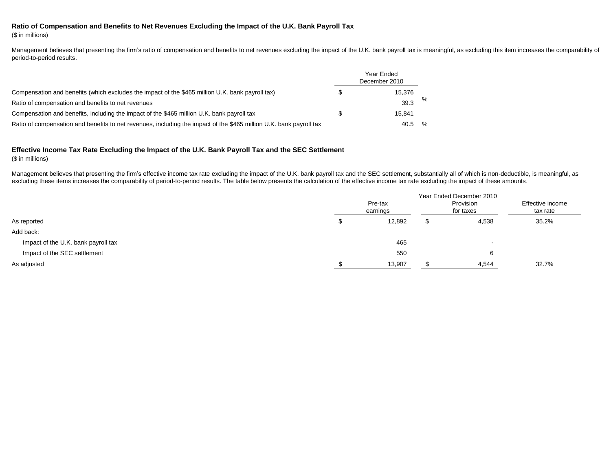## **Ratio of Compensation and Benefits to Net Revenues Excluding the Impact of the U.K. Bank Payroll Tax**

(\$ in millions)

Management believes that presenting the firm's ratio of compensation and benefits to net revenues excluding the impact of the U.K. bank payroll tax is meaningful, as excluding this item increases the comparability of period-to-period results.

|                                                                                                                     | Year Ended<br>December 2010 |   |
|---------------------------------------------------------------------------------------------------------------------|-----------------------------|---|
| Compensation and benefits (which excludes the impact of the \$465 million U.K. bank payroll tax)                    | 15.376                      |   |
| Ratio of compensation and benefits to net revenues                                                                  | 39.3                        | % |
| Compensation and benefits, including the impact of the \$465 million U.K. bank payroll tax                          | 15.841                      |   |
| Ratio of compensation and benefits to net revenues, including the impact of the \$465 million U.K. bank payroll tax | 40.5                        | % |

## **Effective Income Tax Rate Excluding the Impact of the U.K. Bank Payroll Tax and the SEC Settlement**

(\$ in millions)

Management believes that presenting the firm's effective income tax rate excluding the impact of the U.K. bank payroll tax and the SEC settlement, substantially all of which is non-deductible, is meaningful, as excluding these items increases the comparability of period-to-period results. The table below presents the calculation of the effective income tax rate excluding the impact of these amounts.

|                                     | Year Ended December 2010 |        |    |                        |                              |  |  |  |  |
|-------------------------------------|--------------------------|--------|----|------------------------|------------------------------|--|--|--|--|
|                                     | Pre-tax<br>earnings      |        |    | Provision<br>for taxes | Effective income<br>tax rate |  |  |  |  |
| As reported                         |                          | 12,892 | J. | 4,538                  | 35.2%                        |  |  |  |  |
| Add back:                           |                          |        |    |                        |                              |  |  |  |  |
| Impact of the U.K. bank payroll tax |                          | 465    |    | . .                    |                              |  |  |  |  |
| Impact of the SEC settlement        |                          | 550    |    |                        |                              |  |  |  |  |
| As adjusted                         |                          | 13,907 |    | 4,544                  | 32.7%                        |  |  |  |  |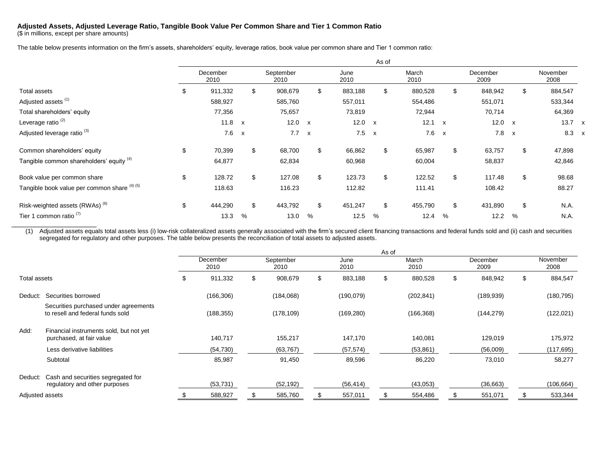## **Adjusted Assets, Adjusted Leverage Ratio, Tangible Book Value Per Common Share and Tier 1 Common Ratio**

(\$ in millions, except per share amounts)

\_\_\_\_\_\_\_\_\_\_\_\_\_\_\_\_\_\_\_\_\_\_

The table below presents information on the firm's assets, shareholders' equity, leverage ratios, book value per common share and Tier 1 common ratio:

|                                              |                  |              |                   |              |              | As of                     |               |              |                  |              |                  |              |
|----------------------------------------------|------------------|--------------|-------------------|--------------|--------------|---------------------------|---------------|--------------|------------------|--------------|------------------|--------------|
|                                              | December<br>2010 |              | September<br>2010 |              | June<br>2010 |                           | March<br>2010 |              | December<br>2009 |              | November<br>2008 |              |
| <b>Total assets</b>                          | \$<br>911,332    | \$           | 908,679           | \$           | 883,188      | \$                        | 880,528       |              | \$<br>848,942    | \$           | 884,547          |              |
| Adjusted assets <sup>(1)</sup>               | 588,927          |              | 585,760           |              | 557,011      |                           | 554,486       |              | 551,071          |              | 533,344          |              |
| Total shareholders' equity                   | 77,356           |              | 75,657            |              | 73,819       |                           | 72,944        |              | 70,714           |              | 64,369           |              |
| Leverage ratio <sup>(2)</sup>                | 11.8 $x$         |              | 12.0              | $\mathbf{x}$ | 12.0         | $\mathsf{x}$              | 12.1          | $\mathsf{x}$ | 12.0             | $\mathsf{x}$ | $13.7 \times$    |              |
| Adjusted leverage ratio <sup>(3)</sup>       | 7.6              | $\mathsf{x}$ | 7.7               | $\mathsf{x}$ | 7.5          | $\boldsymbol{\mathsf{x}}$ | 7.6           | $\mathsf{x}$ | 7.8              | $\mathsf{x}$ | 8.3              | $\mathbf{x}$ |
| Common shareholders' equity                  | \$<br>70,399     | \$           | 68,700            | \$           | 66,862       | \$                        | 65,987        |              | \$<br>63,757     | \$           | 47,898           |              |
| Tangible common shareholders' equity (4)     | 64,877           |              | 62,834            |              | 60,968       |                           | 60,004        |              | 58,837           |              | 42,846           |              |
| Book value per common share                  | \$<br>128.72     | \$           | 127.08            | \$           | 123.73       | \$                        | 122.52        |              | \$<br>117.48     | \$           | 98.68            |              |
| Tangible book value per common share (4) (5) | 118.63           |              | 116.23            |              | 112.82       |                           | 111.41        |              | 108.42           |              | 88.27            |              |
| Risk-weighted assets (RWAs) <sup>(6)</sup>   | \$<br>444,290    | \$.          | 443,792           | \$           | 451,247      | \$                        | 455,790       |              | \$<br>431,890    | \$           | N.A.             |              |
| Tier 1 common ratio <sup>(7)</sup>           | 13.3             | %            | 13.0              | %            | 12.5         | %                         | 12.4          | %            | 12.2             | %            | N.A.             |              |

(1) Adjusted assets equals total assets less (i) low-risk collateralized assets generally associated with the firm's secured client financing transactions and federal funds sold and (ii) cash and securities segregated for regulatory and other purposes. The table below presents the reconciliation of total assets to adjusted assets.

|                 |                                                                           | As of |                  |    |                   |    |              |   |               |    |                  |    |                  |
|-----------------|---------------------------------------------------------------------------|-------|------------------|----|-------------------|----|--------------|---|---------------|----|------------------|----|------------------|
|                 |                                                                           |       | December<br>2010 |    | September<br>2010 |    | June<br>2010 |   | March<br>2010 |    | December<br>2009 |    | November<br>2008 |
| Total assets    |                                                                           | \$.   | 911,332          | \$ | 908,679           | \$ | 883,188      | S | 880,528       | \$ | 848,942          | \$ | 884,547          |
| Deduct:         | Securities borrowed                                                       |       | (166, 306)       |    | (184,068)         |    | (190, 079)   |   | (202, 841)    |    | (189, 939)       |    | (180, 795)       |
|                 | Securities purchased under agreements<br>to resell and federal funds sold |       | (188, 355)       |    | (178, 109)        |    | (169, 280)   |   | (166, 368)    |    | (144, 279)       |    | (122, 021)       |
| Add:            | Financial instruments sold, but not yet<br>purchased, at fair value       |       | 140,717          |    | 155,217           |    | 147,170      |   | 140,081       |    | 129,019          |    | 175,972          |
|                 | Less derivative liabilities                                               |       | (54, 730)        |    | (63, 767)         |    | (57, 574)    |   | (53, 861)     |    | (56,009)         |    | (117, 695)       |
|                 | Subtotal                                                                  |       | 85,987           |    | 91,450            |    | 89,596       |   | 86,220        |    | 73,010           |    | 58,277           |
| Deduct:         | Cash and securities segregated for<br>regulatory and other purposes       |       | (53, 731)        |    | (52, 192)         |    | (56, 414)    |   | (43,053)      |    | (36, 663)        |    | (106, 664)       |
| Adjusted assets |                                                                           |       | 588,927          |    | 585,760           | \$ | 557,011      |   | 554,486       | \$ | 551,071          |    | 533,344          |